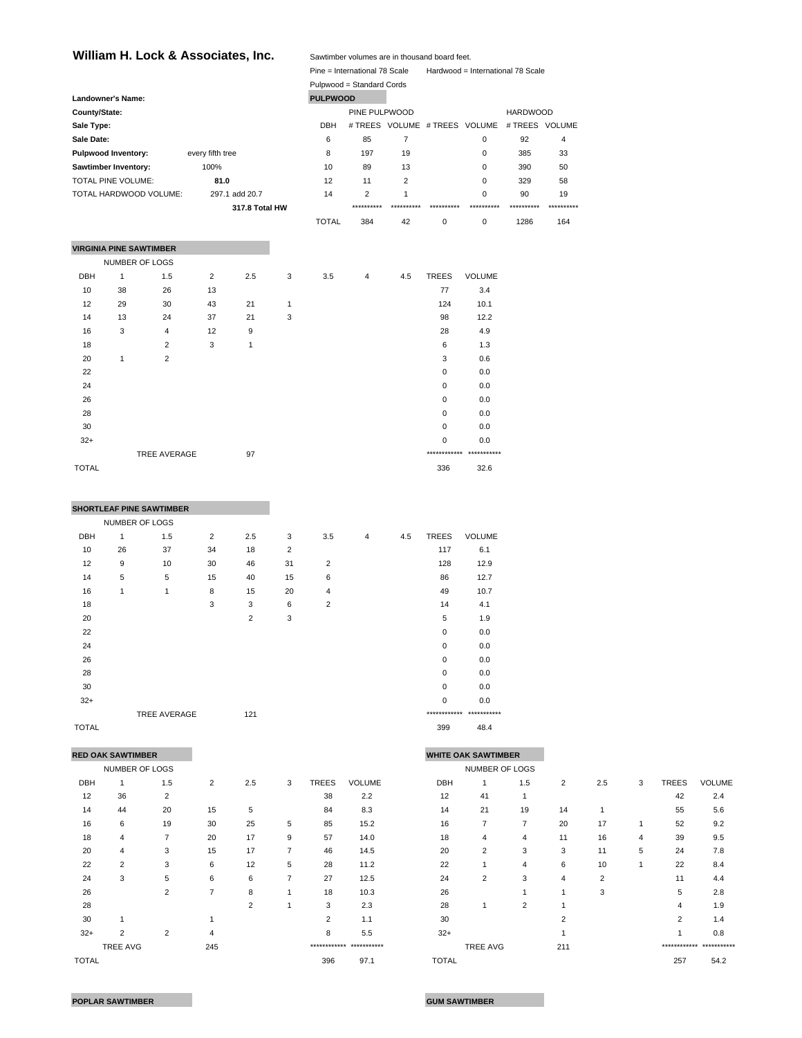## William H. Lock & Associates, Inc. Sawtimber volumes are in thousand board feet.

|               |                                |                        |                  |                |              |                 | Pine = International 78 Scale |                |              | Hardwood = International 78 Scale            |                 |             |
|---------------|--------------------------------|------------------------|------------------|----------------|--------------|-----------------|-------------------------------|----------------|--------------|----------------------------------------------|-----------------|-------------|
|               |                                |                        |                  |                |              |                 | Pulpwood = Standard Cords     |                |              |                                              |                 |             |
|               | <b>Landowner's Name:</b>       |                        |                  |                |              | <b>PULPWOOD</b> |                               |                |              |                                              |                 |             |
| County/State: |                                |                        |                  |                |              |                 | PINE PULPWOOD                 |                |              |                                              | <b>HARDWOOD</b> |             |
| Sale Type:    |                                |                        |                  |                |              | <b>DBH</b>      |                               |                |              | # TREES VOLUME # TREES VOLUME # TREES VOLUME |                 |             |
| Sale Date:    |                                |                        |                  |                |              | 6               | 85                            | $\overline{7}$ |              | 0                                            | 92              | 4           |
|               | Pulpwood Inventory:            |                        | every fifth tree |                |              | 8               | 197                           | 19             |              | 0                                            | 385             | 33          |
|               | Sawtimber Inventory:           |                        | 100%             |                |              | 10              | 89                            | 13             |              | 0                                            | 390             | 50          |
|               | TOTAL PINE VOLUME:             |                        | 81.0             |                |              | 12              | 11                            | $\overline{2}$ |              | 0                                            | 329             | 58          |
|               |                                | TOTAL HARDWOOD VOLUME: |                  | 297.1 add 20.7 |              | 14              | 2                             | $\mathbf{1}$   |              | $\Omega$                                     | 90              | 19          |
|               |                                |                        |                  | 317.8 Total HW |              |                 | **********                    | **********     | **********   | ***********                                  | **********      | *********** |
|               |                                |                        |                  |                |              | <b>TOTAL</b>    | 384                           | 42             | $\mathbf 0$  | $\Omega$                                     | 1286            | 164         |
|               |                                |                        |                  |                |              |                 |                               |                |              |                                              |                 |             |
|               | <b>VIRGINIA PINE SAWTIMBER</b> |                        |                  |                |              |                 |                               |                |              |                                              |                 |             |
|               | NUMBER OF LOGS                 |                        |                  |                |              |                 |                               |                |              |                                              |                 |             |
| <b>DBH</b>    | $\mathbf{1}$                   | 1.5                    | $\overline{2}$   | 2.5            | 3            | 3.5             | 4                             | 4.5            | <b>TREES</b> | VOLUME                                       |                 |             |
| 10            | 38                             | 26                     | 13               |                |              |                 |                               |                | 77           | 3.4                                          |                 |             |
| 12            | 29                             | 30                     | 43               | 21             | $\mathbf{1}$ |                 |                               |                | 124          | 10.1                                         |                 |             |
| 14            | 13                             | 24                     | 37               | 21             | 3            |                 |                               |                | 98           | 12.2                                         |                 |             |
| 16            | 3                              | $\overline{4}$         | 12               | 9              |              |                 |                               |                | 28           | 4.9                                          |                 |             |
| 18            |                                | 2                      | 3                | $\mathbf{1}$   |              |                 |                               |                | 6            | 1.3                                          |                 |             |
| 20            | $\mathbf{1}$                   | 2                      |                  |                |              |                 |                               |                | 3            | 0.6                                          |                 |             |
| 22            |                                |                        |                  |                |              |                 |                               |                | 0            | 0.0                                          |                 |             |
| 24            |                                |                        |                  |                |              |                 |                               |                | 0            | 0.0                                          |                 |             |
| 26            |                                |                        |                  |                |              |                 |                               |                | $\mathbf 0$  | 0.0                                          |                 |             |
| 28            |                                |                        |                  |                |              |                 |                               |                | $\mathbf 0$  | 0.0                                          |                 |             |
| 30            |                                |                        |                  |                |              |                 |                               |                | $\mathsf 0$  | 0.0                                          |                 |             |
| $32+$         |                                |                        |                  |                |              |                 |                               |                | 0            | 0.0                                          |                 |             |
|               |                                | TREE AVERAGE           |                  | 97             |              |                 |                               |                |              | ************ ***********                     |                 |             |
| <b>TOTAL</b>  |                                |                        |                  |                |              |                 |                               |                | 336          | 32.6                                         |                 |             |

|       |                | <b>SHORTLEAF PINE SAWTIMBER</b> |                |                |                |                |                |     |                          |               |
|-------|----------------|---------------------------------|----------------|----------------|----------------|----------------|----------------|-----|--------------------------|---------------|
|       |                |                                 |                |                |                |                |                |     |                          |               |
|       | NUMBER OF LOGS |                                 |                |                |                |                |                |     |                          |               |
| DBH   | 1              | 1.5                             | $\overline{2}$ | 2.5            | 3              | 3.5            | $\overline{4}$ | 4.5 | <b>TREES</b>             | <b>VOLUME</b> |
| 10    | 26             | 37                              | 34             | 18             | $\overline{2}$ |                |                |     | 117                      | 6.1           |
| 12    | 9              | 10                              | 30             | 46             | 31             | $\overline{2}$ |                |     | 128                      | 12.9          |
| 14    | 5              | 5                               | 15             | 40             | 15             | 6              |                |     | 86                       | 12.7          |
| 16    | 1              | 1                               | 8              | 15             | 20             | $\overline{4}$ |                |     | 49                       | 10.7          |
| 18    |                |                                 | 3              | 3              | 6              | $\overline{2}$ |                |     | 14                       | 4.1           |
| 20    |                |                                 |                | $\overline{2}$ | 3              |                |                |     | 5                        | 1.9           |
| 22    |                |                                 |                |                |                |                |                |     | 0                        | 0.0           |
| 24    |                |                                 |                |                |                |                |                |     | $\mathbf 0$              | 0.0           |
| 26    |                |                                 |                |                |                |                |                |     | $\Omega$                 | 0.0           |
| 28    |                |                                 |                |                |                |                |                |     | 0                        | 0.0           |
| 30    |                |                                 |                |                |                |                |                |     | $\mathbf 0$              | 0.0           |
| $32+$ |                |                                 |                |                |                |                |                |     | 0                        | 0.0           |
|       |                | TREE AVERAGE                    |                | 121            |                |                |                |     | ************ *********** |               |

TOTAL 399 48.4

|              | <b>RED OAK SAWTIMBER</b> |                |                |     |   |       |                          | <b>WHITE OAK SAWTIMBER</b> |                 |                |                |     |   |       |                         |
|--------------|--------------------------|----------------|----------------|-----|---|-------|--------------------------|----------------------------|-----------------|----------------|----------------|-----|---|-------|-------------------------|
|              | NUMBER OF LOGS           |                |                |     |   |       |                          |                            | NUMBER OF LOGS  |                |                |     |   |       |                         |
| <b>DBH</b>   |                          | 1.5            | 2              | 2.5 | 3 | TREES | <b>VOLUME</b>            | <b>DBH</b>                 |                 | 1.5            | 2              | 2.5 | 3 | TREES | <b>VOLUME</b>           |
| 12           | 36                       | 2              |                |     |   | 38    | 2.2                      | 12                         | 41              |                |                |     |   | 42    | 2.4                     |
| 14           | 44                       | 20             | 15             | 5   |   | 84    | 8.3                      | 14                         | 21              | 19             | 14             |     |   | 55    | 5.6                     |
| 16           | 6                        | 19             | 30             | 25  | 5 | 85    | 15.2                     | 16                         | 7               | 7              | 20             | 17  |   | 52    | 9.2                     |
| 18           | 4                        | $\overline{7}$ | 20             | 17  | 9 | 57    | 14.0                     | 18                         | 4               | 4              | 11             | 16  | 4 | 39    | 9.5                     |
| 20           | 4                        | 3              | 15             | 17  | 7 | 46    | 14.5                     | 20                         | 2               | 3              | 3              | 11  | 5 | 24    | 7.8                     |
| 22           | 2                        | 3              | 6              | 12  | 5 | 28    | 11.2                     | 22                         |                 | 4              | 6              | 10  |   | 22    | 8.4                     |
| 24           | 3                        | 5              | 6              | 6   | ⇁ | 27    | 12.5                     | 24                         | 2               | 3              | 4              | 2   |   | 11    | 4.4                     |
| 26           |                          | 2              | $\overline{ }$ | 8   |   | 18    | 10.3                     | 26                         |                 |                |                | 3   |   | 5     | 2.8                     |
| 28           |                          |                |                | 2   |   | 3     | 2.3                      | 28                         |                 | $\overline{2}$ |                |     |   | 4     | 1.9                     |
| 30           |                          |                |                |     |   | 2     | 1.1                      | 30                         |                 |                | $\overline{2}$ |     |   | 2     | 1.4                     |
| $32+$        | $\overline{2}$           | $\overline{2}$ | 4              |     |   | 8     | 5.5                      | $32+$                      |                 |                |                |     |   |       | 0.8                     |
|              | <b>TREE AVG</b>          |                | 245            |     |   |       | ************ *********** |                            | <b>TREE AVG</b> |                | 211            |     |   |       | ************ ********** |
| <b>TOTAL</b> |                          |                |                |     |   | 396   | 97.1                     | <b>TOTAL</b>               |                 |                |                |     |   | 257   | 54.2                    |

|            | RED OAK SAWTIMBER |                |                |     |   |                |                          | <b>WHITE OAK SAWTIMBER</b> |                |     |                |     |   |                |                          |
|------------|-------------------|----------------|----------------|-----|---|----------------|--------------------------|----------------------------|----------------|-----|----------------|-----|---|----------------|--------------------------|
|            | NUMBER OF LOGS    |                |                |     |   |                |                          |                            | NUMBER OF LOGS |     |                |     |   |                |                          |
| <b>DBH</b> |                   | 1.5            | $\overline{2}$ | 2.5 | 3 | <b>TREES</b>   | <b>VOLUME</b>            | <b>DBH</b>                 |                | 1.5 | $\overline{2}$ | 2.5 | 3 | <b>TREES</b>   | <b>VOLUME</b>            |
| 12         | 36                | 2              |                |     |   | 38             | 2.2                      | 12                         | 41             |     |                |     |   | 42             | 2.4                      |
| 14         | 44                | 20             | 15             | 5   |   | 84             | 8.3                      | 14                         | 21             | 19  | 14             |     |   | 55             | 5.6                      |
| 16         | 6                 | 19             | 30             | 25  | 5 | 85             | 15.2                     | 16                         | $\overline{7}$ | 7   | 20             | 17  | 1 | 52             | 9.2                      |
| 18         | 4                 | 7              | 20             | 17  | 9 | 57             | 14.0                     | 18                         | 4              | 4   | 11             | 16  | 4 | 39             | 9.5                      |
| 20         | 4                 | 3              | 15             | 17  | 7 | 46             | 14.5                     | 20                         | 2              | 3   | 3              | 11  | 5 | 24             | 7.8                      |
| 22         | $\overline{2}$    | 3              | 6              | 12  | 5 | 28             | 11.2                     | 22                         |                | 4   | 6              | 10  |   | 22             | 8.4                      |
| 24         | 3                 | 5              | 6              | 6   | 7 | 27             | 12.5                     | 24                         | 2              | 3   | $\overline{4}$ | 2   |   | 11             | 4.4                      |
| 26         |                   | $\overline{2}$ | 7              | 8   |   | 18             | 10.3                     | 26                         |                |     |                | 3   |   | 5              | 2.8                      |
| 28         |                   |                |                | 2   |   | 3              | 2.3                      | 28                         |                | 2   |                |     |   | 4              | 1.9                      |
| 30         |                   |                |                |     |   | $\overline{2}$ | 1.1                      | 30                         |                |     | 2              |     |   | $\overline{2}$ | 1.4                      |
| $32+$      | 2                 | 2              | 4              |     |   | 8              | 5.5                      | $32+$                      |                |     |                |     |   |                | 0.8                      |
|            | <b>TREE AVG</b>   |                | 245            |     |   |                | ************ *********** |                            | TREE AVG       |     | 211            |     |   |                | ************ *********** |
| TOTAL      |                   |                |                |     |   | 396            | 97.1                     | <b>TOTAL</b>               |                |     |                |     |   | 257            | 54.2                     |